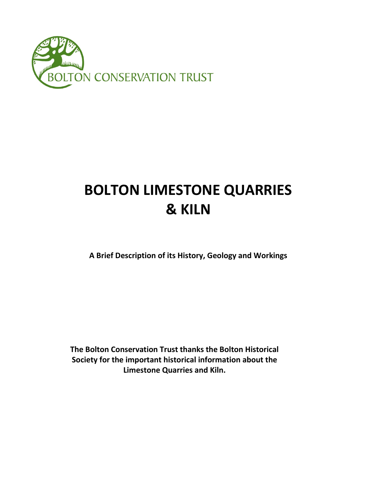

# **BOLTON LIMESTONE QUARRIES & KILN**

**A Brief Description of its History, Geology and Workings**

**The Bolton Conservation Trust thanks the Bolton Historical Society for the important historical information about the Limestone Quarries and Kiln.**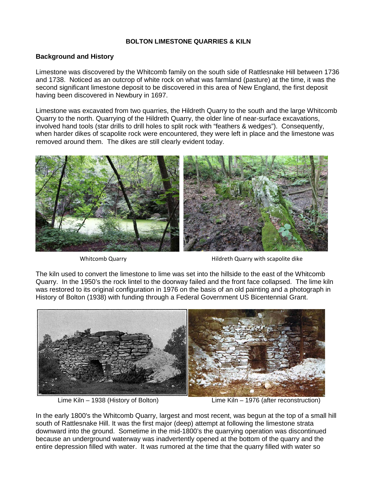#### **BOLTON LIMESTONE QUARRIES & KILN**

#### **Background and History**

Limestone was discovered by the Whitcomb family on the south side of Rattlesnake Hill between 1736 and 1738. Noticed as an outcrop of white rock on what was farmland (pasture) at the time, it was the second significant limestone deposit to be discovered in this area of New England, the first deposit having been discovered in Newbury in 1697.

Limestone was excavated from two quarries, the Hildreth Quarry to the south and the large Whitcomb Quarry to the north. Quarrying of the Hildreth Quarry, the older line of near-surface excavations, involved hand tools (star drills to drill holes to split rock with "feathers & wedges"). Consequently, when harder dikes of scapolite rock were encountered, they were left in place and the limestone was removed around them. The dikes are still clearly evident today.



Whitcomb Quarry **Matter and Australian Control** Hildreth Quarry with scapolite dike

The kiln used to convert the limestone to lime was set into the hillside to the east of the Whitcomb Quarry. In the 1950's the rock lintel to the doorway failed and the front face collapsed. The lime kiln was restored to its original configuration in 1976 on the basis of an old painting and a photograph in History of Bolton (1938) with funding through a Federal Government US Bicentennial Grant.



Lime Kiln – 1938 (History of Bolton) Lime Kiln – 1976 (after reconstruction)

In the early 1800's the Whitcomb Quarry, largest and most recent, was begun at the top of a small hill south of Rattlesnake Hill. It was the first major (deep) attempt at following the limestone strata downward into the ground. Sometime in the mid-1800's the quarrying operation was discontinued because an underground waterway was inadvertently opened at the bottom of the quarry and the entire depression filled with water. It was rumored at the time that the quarry filled with water so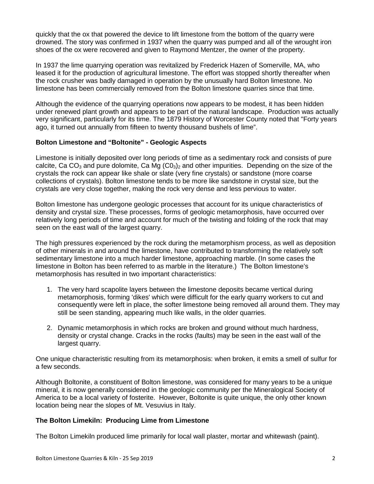quickly that the ox that powered the device to lift limestone from the bottom of the quarry were drowned. The story was confirmed in 1937 when the quarry was pumped and all of the wrought iron shoes of the ox were recovered and given to Raymond Mentzer, the owner of the property.

In 1937 the lime quarrying operation was revitalized by Frederick Hazen of Somerville, MA, who leased it for the production of agricultural limestone. The effort was stopped shortly thereafter when the rock crusher was badly damaged in operation by the unusually hard Bolton limestone. No limestone has been commercially removed from the Bolton limestone quarries since that time.

Although the evidence of the quarrying operations now appears to be modest, it has been hidden under renewed plant growth and appears to be part of the natural landscape. Production was actually very significant, particularly for its time. The 1879 History of Worcester County noted that "Forty years ago, it turned out annually from fifteen to twenty thousand bushels of lime".

## **Bolton Limestone and "Boltonite" - Geologic Aspects**

Limestone is initially deposited over long periods of time as a sedimentary rock and consists of pure calcite, Ca CO<sub>3</sub> and pure dolomite, Ca Mg (CO<sub>3</sub>)<sub>2</sub> and other impurities. Depending on the size of the crystals the rock can appear like shale or slate (very fine crystals) or sandstone (more coarse collections of crystals). Bolton limestone tends to be more like sandstone in crystal size, but the crystals are very close together, making the rock very dense and less pervious to water.

Bolton limestone has undergone geologic processes that account for its unique characteristics of density and crystal size. These processes, forms of geologic metamorphosis, have occurred over relatively long periods of time and account for much of the twisting and folding of the rock that may seen on the east wall of the largest quarry.

The high pressures experienced by the rock during the metamorphism process, as well as deposition of other minerals in and around the limestone, have contributed to transforming the relatively soft sedimentary limestone into a much harder limestone, approaching marble. (In some cases the limestone in Bolton has been referred to as marble in the literature.) The Bolton limestone's metamorphosis has resulted in two important characteristics:

- 1. The very hard scapolite layers between the limestone deposits became vertical during metamorphosis, forming 'dikes' which were difficult for the early quarry workers to cut and consequently were left in place, the softer limestone being removed all around them. They may still be seen standing, appearing much like walls, in the older quarries.
- 2. Dynamic metamorphosis in which rocks are broken and ground without much hardness, density or crystal change. Cracks in the rocks (faults) may be seen in the east wall of the largest quarry.

One unique characteristic resulting from its metamorphosis: when broken, it emits a smell of sulfur for a few seconds.

Although Boltonite, a constituent of Bolton limestone, was considered for many years to be a unique mineral, it is now generally considered in the geologic community per the Mineralogical Society of America to be a local variety of fosterite. However, Boltonite is quite unique, the only other known location being near the slopes of Mt. Vesuvius in Italy.

# **The Bolton Limekiln: Producing Lime from Limestone**

The Bolton Limekiln produced lime primarily for local wall plaster, mortar and whitewash (paint).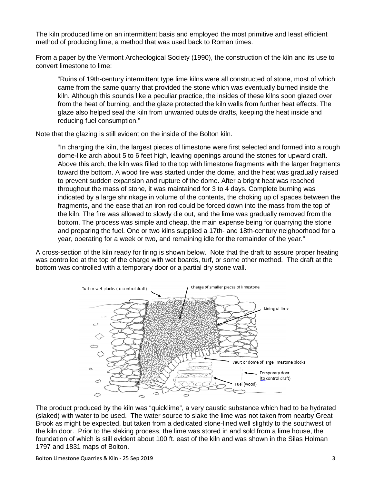The kiln produced lime on an intermittent basis and employed the most primitive and least efficient method of producing lime, a method that was used back to Roman times.

From a paper by the Vermont Archeological Society (1990), the construction of the kiln and its use to convert limestone to lime:

"Ruins of 19th-century intermittent type lime kilns were all constructed of stone, most of which came from the same quarry that provided the stone which was eventually burned inside the kiln. Although this sounds like a peculiar practice, the insides of these kilns soon glazed over from the heat of burning, and the glaze protected the kiln walls from further heat effects. The glaze also helped seal the kiln from unwanted outside drafts, keeping the heat inside and reducing fuel consumption."

Note that the glazing is still evident on the inside of the Bolton kiln.

"In charging the kiln, the largest pieces of limestone were first selected and formed into a rough dome-like arch about 5 to 6 feet high, leaving openings around the stones for upward draft. Above this arch, the kiln was filled to the top with limestone fragments with the larger fragments toward the bottom. A wood fire was started under the dome, and the heat was gradually raised to prevent sudden expansion and rupture of the dome. After a bright heat was reached throughout the mass of stone, it was maintained for 3 to 4 days. Complete burning was indicated by a large shrinkage in volume of the contents, the choking up of spaces between the fragments, and the ease that an iron rod could be forced down into the mass from the top of the kiln. The fire was allowed to slowly die out, and the lime was gradually removed from the bottom. The process was simple and cheap, the main expense being for quarrying the stone and preparing the fuel. One or two kilns supplied a 17th- and 18th-century neighborhood for a year, operating for a week or two, and remaining idle for the remainder of the year."

A cross-section of the kiln ready for firing is shown below. Note that the draft to assure proper heating was controlled at the top of the charge with wet boards, turf, or some other method. The draft at the bottom was controlled with a temporary door or a partial dry stone wall.



The product produced by the kiln was "quicklime", a very caustic substance which had to be hydrated (slaked) with water to be used. The water source to slake the lime was not taken from nearby Great Brook as might be expected, but taken from a dedicated stone-lined well slightly to the southwest of the kiln door. Prior to the slaking process, the lime was stored in and sold from a lime house, the foundation of which is still evident about 100 ft. east of the kiln and was shown in the Silas Holman 1797 and 1831 maps of Bolton.

Bolton Limestone Quarries & Kiln - 25 Sep 2019 3